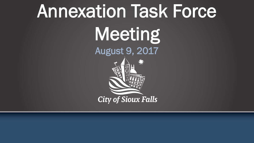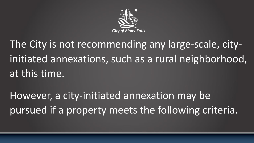

The City is not recommending any large-scale, cityinitiated annexations, such as a rural neighborhood, at this time.

However, a city-initiated annexation may be pursued if a property meets the following criteria.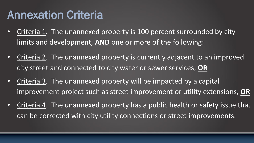## Annexation Criteria

- Criteria 1. The unannexed property is 100 percent surrounded by city limits and development, **AND** one or more of the following:
- Criteria 2. The unannexed property is currently adjacent to an improved city street and connected to city water or sewer services, **OR**
- Criteria 3. The unannexed property will be impacted by a capital improvement project such as street improvement or utility extensions, **OR**
- Criteria 4. The unannexed property has a public health or safety issue that can be corrected with city utility connections or street improvements.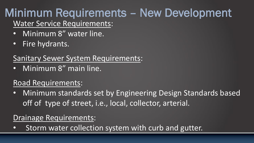# Minimum Requirements – New Development

Water Service Requirements:

- Minimum 8" water line.
- Fire hydrants.

## Sanitary Sewer System Requirements:

• Minimum 8" main line.

## Road Requirements:

• Minimum standards set by Engineering Design Standards based off of type of street, i.e., local, collector, arterial.

### Drainage Requirements:

• Storm water collection system with curb and gutter.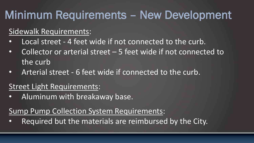# Minimum Requirements – New Development

### Sidewalk Requirements:

- Local street 4 feet wide if not connected to the curb.
- Collector or arterial street 5 feet wide if not connected to the curb
- Arterial street 6 feet wide if connected to the curb.

### Street Light Requirements:

• Aluminum with breakaway base.

#### Sump Pump Collection System Requirements:

Required but the materials are reimbursed by the City.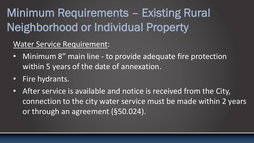# Minimum Requirements – Existing Rural Neighborhood or Individual Property

#### Water Service Requirement:

- Minimum 8" main line to provide adequate fire protection within 5 years of the date of annexation.
- Fire hydrants.
- After service is available and notice is received from the City, connection to the city water service must be made within 2 years or through an agreement (§50.024).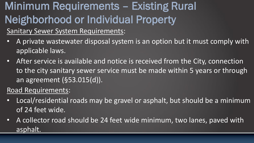# Minimum Requirements – Existing Rural Neighborhood or Individual Property

#### Sanitary Sewer System Requirements:

- A private wastewater disposal system is an option but it must comply with applicable laws.
- After service is available and notice is received from the City, connection to the city sanitary sewer service must be made within 5 years or through an agreement (§53.015(d)).

#### Road Requirements:

- Local/residential roads may be gravel or asphalt, but should be a minimum of 24 feet wide.
- A collector road should be 24 feet wide minimum, two lanes, paved with asphalt.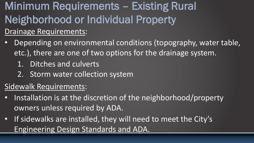Minimum Requirements – Existing Rural Neighborhood or Individual Property Drainage Requirements:

- Depending on environmental conditions (topography, water table, etc.), there are one of two options for the drainage system.
	- 1. Ditches and culverts
	- 2. Storm water collection system

## Sidewalk Requirements:

- Installation is at the discretion of the neighborhood/property owners unless required by ADA.
- If sidewalks are installed, they will need to meet the City's Engineering Design Standards and ADA.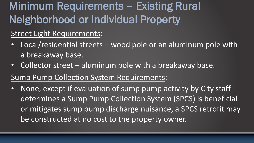# Minimum Requirements – Existing Rural Neighborhood or Individual Property

#### Street Light Requirements:

- Local/residential streets wood pole or an aluminum pole with a breakaway base.
- Collector street aluminum pole with a breakaway base.
- Sump Pump Collection System Requirements:
- None, except if evaluation of sump pump activity by City staff determines a Sump Pump Collection System (SPCS) is beneficial or mitigates sump pump discharge nuisance, a SPCS retrofit may be constructed at no cost to the property owner.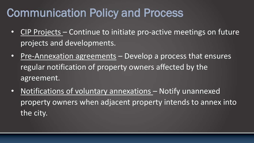# Communication Policy and Process

- CIP Projects Continue to initiate pro-active meetings on future projects and developments.
- Pre-Annexation agreements Develop a process that ensures regular notification of property owners affected by the agreement.
- Notifications of voluntary annexations Notify unannexed property owners when adjacent property intends to annex into the city.